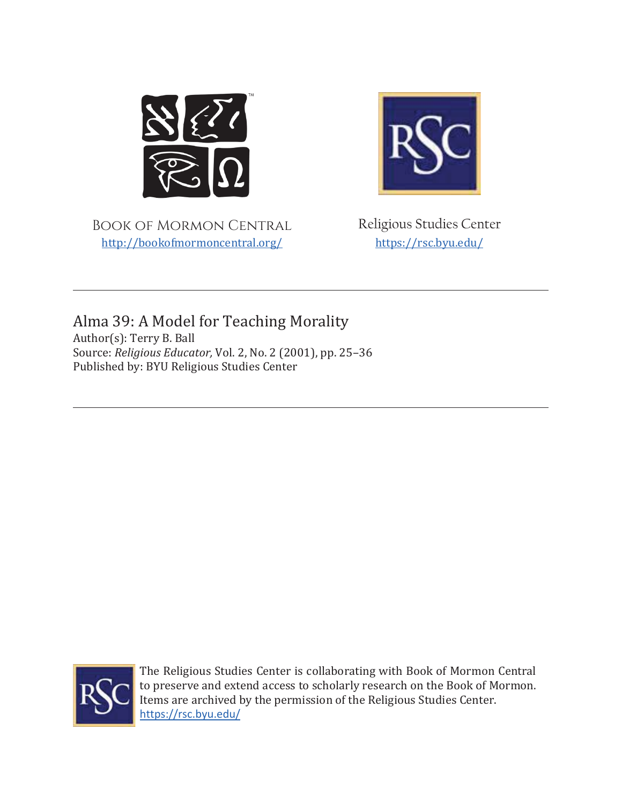

Book of Mormon Central http://bookofmormoncentral.org/



Religious Studies Center https://rsc.byu.edu/

Alma 39: A Model for Teaching Morality Author(s): Terry B. Ball Source: *Religious Educator*, Vol. 2, No. 2 (2001), pp. 25-36 Published by: BYU Religious Studies Center



The Religious Studies Center is collaborating with Book of Mormon Central to preserve and extend access to scholarly research on the Book of Mormon. Items are archived by the permission of the Religious Studies Center. https://rsc.byu.edu/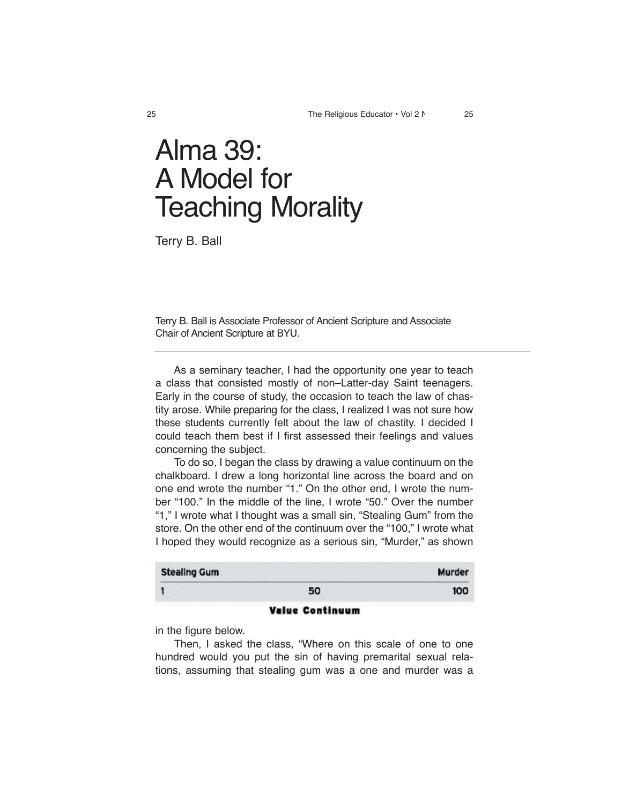# **Alma 39: A Model for Teaching Morality**

**Terry B. Ball**

**Terry B. Ball is Associate Professor of Ancient Scripture and Associate Chair of Ancient Scripture at BYU.**

 **As a seminary teacher, I had the opportunity one year to teach a class that consisted mostly of non–Latter-day Saint teenagers. Early in the course of study, the occasion to teach the law of chastity arose. While preparing for the class, I realized I was not sure how these students currently felt about the law of chastity. I decided I could teach them best if I first assessed their feelings and values concerning the subject.**

 **To do so, I began the class by drawing a value continuum on the chalkboard. I drew a long horizontal line across the board and on one end wrote the number "1." On the other end, I wrote the number "100." In the middle of the line, I wrote "50." Over the number "1," I wrote what I thought was a small sin, "Stealing Gum" from the store. On the other end of the continuum over the "100," I wrote what I hoped they would recognize as a serious sin, "Murder," as shown** 

| <b>Stealing Gum</b> |    | <b>Murdei</b> |
|---------------------|----|---------------|
|                     | 50 | 100           |

# **Value Continuum**

**in the figure below.**

 **Then, I asked the class, "Where on this scale of one to one hundred would you put the sin of having premarital sexual relations, assuming that stealing gum was a one and murder was a**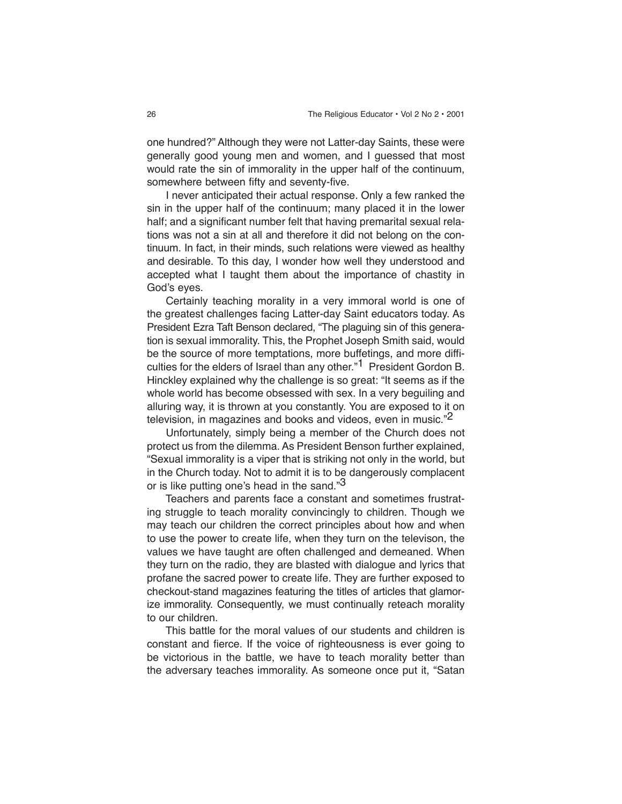**one hundred?" Although they were not Latter-day Saints, these were generally good young men and women, and I guessed that most would rate the sin of immorality in the upper half of the continuum, somewhere between fifty and seventy-five.**

 **I never anticipated their actual response. Only a few ranked the sin in the upper half of the continuum; many placed it in the lower half; and a significant number felt that having premarital sexual relations was not a sin at all and therefore it did not belong on the continuum. In fact, in their minds, such relations were viewed as healthy and desirable. To this day, I wonder how well they understood and accepted what I taught them about the importance of chastity in God's eyes.**

 **Certainly teaching morality in a very immoral world is one of the greatest challenges facing Latter-day Saint educators today. As President Ezra Taft Benson declared, "The plaguing sin of this generation is sexual immorality. This, the Prophet Joseph Smith said, would be the source of more temptations, more buffetings, and more difficulties for the elders of Israel than any other."1 President Gordon B. Hinckley explained why the challenge is so great: "It seems as if the whole world has become obsessed with sex. In a very beguiling and alluring way, it is thrown at you constantly. You are exposed to it on television, in magazines and books and videos, even in music."2**

 **Unfortunately, simply being a member of the Church does not protect us from the dilemma. As President Benson further explained, "Sexual immorality is a viper that is striking not only in the world, but in the Church today. Not to admit it is to be dangerously complacent or is like putting one's head in the sand."3**

 **Teachers and parents face a constant and sometimes frustrating struggle to teach morality convincingly to children. Though we may teach our children the correct principles about how and when to use the power to create life, when they turn on the televison, the values we have taught are often challenged and demeaned. When they turn on the radio, they are blasted with dialogue and lyrics that profane the sacred power to create life. They are further exposed to checkout-stand magazines featuring the titles of articles that glamorize immorality. Consequently, we must continually reteach morality to our children.**

 **This battle for the moral values of our students and children is constant and fierce. If the voice of righteousness is ever going to be victorious in the battle, we have to teach morality better than the adversary teaches immorality. As someone once put it, "Satan**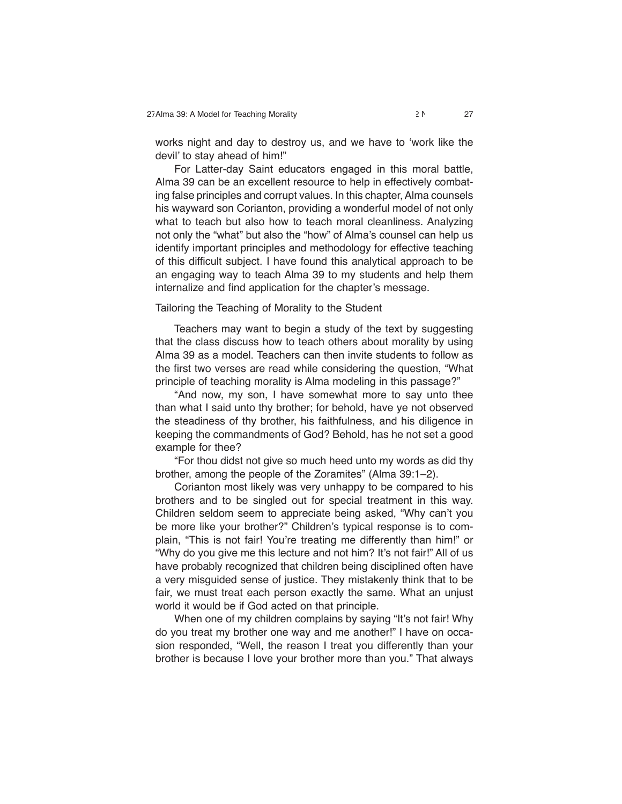**works night and day to destroy us, and we have to 'work like the devil' to stay ahead of him!"**

 **For Latter-day Saint educators engaged in this moral battle, Alma 39 can be an excellent resource to help in effectively combating false principles and corrupt values. In this chapter, Alma counsels his wayward son Corianton, providing a wonderful model of not only what to teach but also how to teach moral cleanliness. Analyzing not only the "what" but also the "how" of Alma's counsel can help us identify important principles and methodology for effective teaching of this difficult subject. I have found this analytical approach to be an engaging way to teach Alma 39 to my students and help them internalize and find application for the chapter's message.**

#### **Tailoring the Teaching of Morality to the Student**

 **Teachers may want to begin a study of the text by suggesting that the class discuss how to teach others about morality by using Alma 39 as a model. Teachers can then invite students to follow as the first two verses are read while considering the question, "What principle of teaching morality is Alma modeling in this passage?"**

 **"And now, my son, I have somewhat more to say unto thee than what I said unto thy brother; for behold, have ye not observed the steadiness of thy brother, his faithfulness, and his diligence in keeping the commandments of God? Behold, has he not set a good example for thee?**

 **"For thou didst not give so much heed unto my words as did thy brother, among the people of the Zoramites" (Alma 39:1–2).**

 **Corianton most likely was very unhappy to be compared to his brothers and to be singled out for special treatment in this way. Children seldom seem to appreciate being asked, "Why can't you be more like your brother?" Children's typical response is to complain, "This is not fair! You're treating me differently than him!" or "Why do you give me this lecture and not him? It's not fair!" All of us have probably recognized that children being disciplined often have a very misguided sense of justice. They mistakenly think that to be fair, we must treat each person exactly the same. What an unjust world it would be if God acted on that principle.**

 **When one of my children complains by saying "It's not fair! Why do you treat my brother one way and me another!" I have on occasion responded, "Well, the reason I treat you differently than your brother is because I love your brother more than you." That always**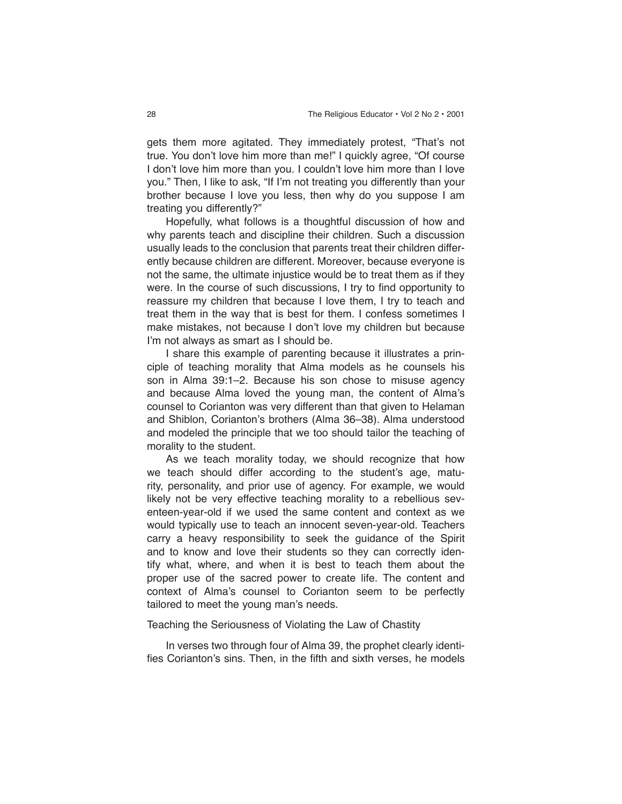**gets them more agitated. They immediately protest, "That's not true. You don't love him more than me!" I quickly agree, "Of course I don't love him more than you. I couldn't love him more than I love you." Then, I like to ask, "If I'm not treating you differently than your brother because I love you less, then why do you suppose I am treating you differently?"**

 **Hopefully, what follows is a thoughtful discussion of how and why parents teach and discipline their children. Such a discussion usually leads to the conclusion that parents treat their children differently because children are different. Moreover, because everyone is not the same, the ultimate injustice would be to treat them as if they were. In the course of such discussions, I try to find opportunity to reassure my children that because I love them, I try to teach and treat them in the way that is best for them. I confess sometimes I make mistakes, not because I don't love my children but because I'm not always as smart as I should be.**

 **I share this example of parenting because it illustrates a principle of teaching morality that Alma models as he counsels his son in Alma 39:1–2. Because his son chose to misuse agency and because Alma loved the young man, the content of Alma's counsel to Corianton was very different than that given to Helaman and Shiblon, Corianton's brothers (Alma 36–38). Alma understood and modeled the principle that we too should tailor the teaching of morality to the student.**

 **As we teach morality today, we should recognize that how we teach should differ according to the student's age, maturity, personality, and prior use of agency. For example, we would likely not be very effective teaching morality to a rebellious seventeen-year-old if we used the same content and context as we would typically use to teach an innocent seven-year-old. Teachers carry a heavy responsibility to seek the guidance of the Spirit and to know and love their students so they can correctly identify what, where, and when it is best to teach them about the proper use of the sacred power to create life. The content and context of Alma's counsel to Corianton seem to be perfectly tailored to meet the young man's needs.**

#### **Teaching the Seriousness of Violating the Law of Chastity**

 **In verses two through four of Alma 39, the prophet clearly identifies Corianton's sins. Then, in the fifth and sixth verses, he models**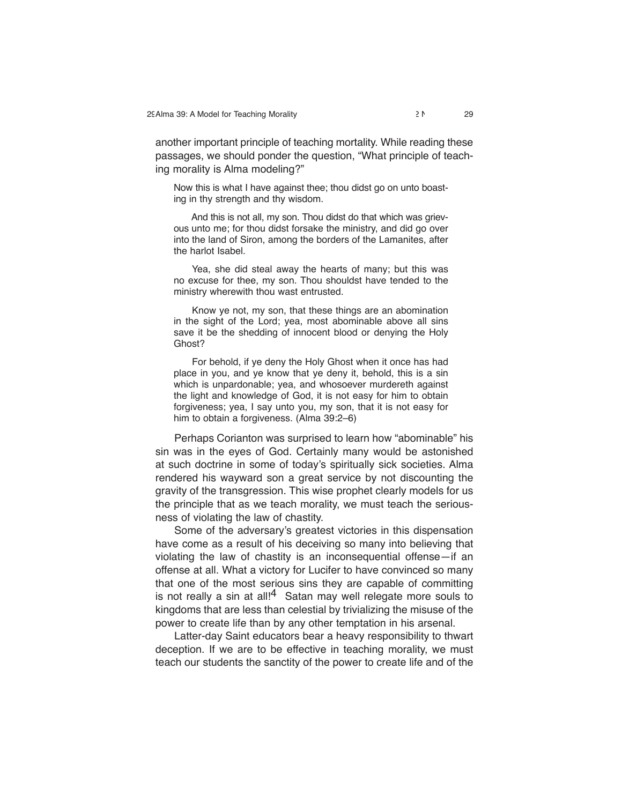**another important principle of teaching mortality. While reading these passages, we should ponder the question, "What principle of teaching morality is Alma modeling?"**

**Now this is what I have against thee; thou didst go on unto boasting in thy strength and thy wisdom.**

 **And this is not all, my son. Thou didst do that which was grievous unto me; for thou didst forsake the ministry, and did go over into the land of Siron, among the borders of the Lamanites, after the harlot Isabel.**

 **Yea, she did steal away the hearts of many; but this was no excuse for thee, my son. Thou shouldst have tended to the ministry wherewith thou wast entrusted.**

 **Know ye not, my son, that these things are an abomination in the sight of the Lord; yea, most abominable above all sins save it be the shedding of innocent blood or denying the Holy Ghost?**

 **For behold, if ye deny the Holy Ghost when it once has had place in you, and ye know that ye deny it, behold, this is a sin which is unpardonable; yea, and whosoever murdereth against the light and knowledge of God, it is not easy for him to obtain forgiveness; yea, I say unto you, my son, that it is not easy for him to obtain a forgiveness. (Alma 39:2–6)**

 **Perhaps Corianton was surprised to learn how "abominable" his sin was in the eyes of God. Certainly many would be astonished at such doctrine in some of today's spiritually sick societies. Alma rendered his wayward son a great service by not discounting the gravity of the transgression. This wise prophet clearly models for us the principle that as we teach morality, we must teach the seriousness of violating the law of chastity.**

 **Some of the adversary's greatest victories in this dispensation have come as a result of his deceiving so many into believing that violating the law of chastity is an inconsequential offense—if an offense at all. What a victory for Lucifer to have convinced so many that one of the most serious sins they are capable of committing is not really a sin at all!4 Satan may well relegate more souls to kingdoms that are less than celestial by trivializing the misuse of the power to create life than by any other temptation in his arsenal.**

 **Latter-day Saint educators bear a heavy responsibility to thwart deception. If we are to be effective in teaching morality, we must teach our students the sanctity of the power to create life and of the**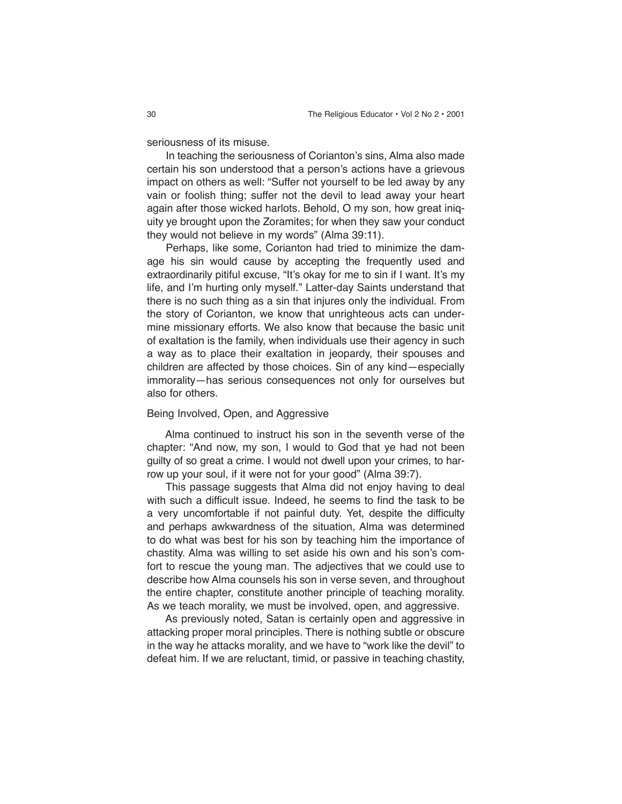**seriousness of its misuse.**

 **In teaching the seriousness of Corianton's sins, Alma also made certain his son understood that a person's actions have a grievous impact on others as well: "Suffer not yourself to be led away by any vain or foolish thing; suffer not the devil to lead away your heart again after those wicked harlots. Behold, O my son, how great iniquity ye brought upon the Zoramites; for when they saw your conduct they would not believe in my words" (Alma 39:11).**

 **Perhaps, like some, Corianton had tried to minimize the damage his sin would cause by accepting the frequently used and extraordinarily pitiful excuse, "It's okay for me to sin if I want. It's my life, and I'm hurting only myself." Latter-day Saints understand that there is no such thing as a sin that injures only the individual. From the story of Corianton, we know that unrighteous acts can undermine missionary efforts. We also know that because the basic unit of exaltation is the family, when individuals use their agency in such a way as to place their exaltation in jeopardy, their spouses and children are affected by those choices. Sin of any kind—especially immorality—has serious consequences not only for ourselves but also for others.**

# **Being Involved, Open, and Aggressive**

 **Alma continued to instruct his son in the seventh verse of the chapter: "And now, my son, I would to God that ye had not been guilty of so great a crime. I would not dwell upon your crimes, to harrow up your soul, if it were not for your good" (Alma 39:7).**

 **This passage suggests that Alma did not enjoy having to deal with such a difficult issue. Indeed, he seems to find the task to be a very uncomfortable if not painful duty. Yet, despite the difficulty and perhaps awkwardness of the situation, Alma was determined to do what was best for his son by teaching him the importance of chastity. Alma was willing to set aside his own and his son's comfort to rescue the young man. The adjectives that we could use to describe how Alma counsels his son in verse seven, and throughout the entire chapter, constitute another principle of teaching morality. As we teach morality, we must be involved, open, and aggressive.**

 **As previously noted, Satan is certainly open and aggressive in attacking proper moral principles. There is nothing subtle or obscure in the way he attacks morality, and we have to "work like the devil" to defeat him. If we are reluctant, timid, or passive in teaching chastity,**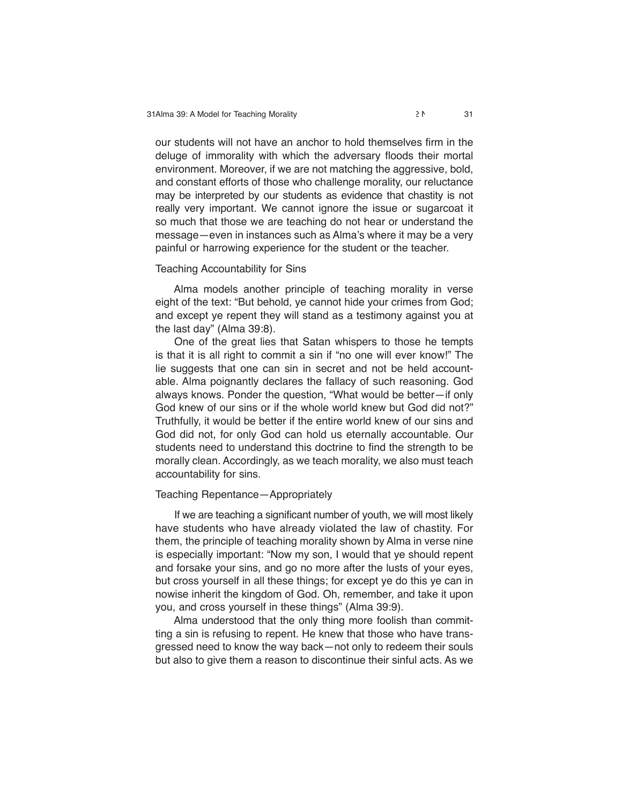**our students will not have an anchor to hold themselves firm in the deluge of immorality with which the adversary floods their mortal environment. Moreover, if we are not matching the aggressive, bold, and constant efforts of those who challenge morality, our reluctance may be interpreted by our students as evidence that chastity is not really very important. We cannot ignore the issue or sugarcoat it so much that those we are teaching do not hear or understand the message—even in instances such as Alma's where it may be a very painful or harrowing experience for the student or the teacher.**

# **Teaching Accountability for Sins**

 **Alma models another principle of teaching morality in verse eight of the text: "But behold, ye cannot hide your crimes from God; and except ye repent they will stand as a testimony against you at the last day" (Alma 39:8).**

 **One of the great lies that Satan whispers to those he tempts is that it is all right to commit a sin if "no one will ever know!" The lie suggests that one can sin in secret and not be held accountable. Alma poignantly declares the fallacy of such reasoning. God always knows. Ponder the question, "What would be better—if only God knew of our sins or if the whole world knew but God did not?" Truthfully, it would be better if the entire world knew of our sins and God did not, for only God can hold us eternally accountable. Our students need to understand this doctrine to find the strength to be morally clean. Accordingly, as we teach morality, we also must teach accountability for sins.**

# **Teaching Repentance—Appropriately**

 **If we are teaching a significant number of youth, we will most likely have students who have already violated the law of chastity. For them, the principle of teaching morality shown by Alma in verse nine is especially important: "Now my son, I would that ye should repent and forsake your sins, and go no more after the lusts of your eyes, but cross yourself in all these things; for except ye do this ye can in nowise inherit the kingdom of God. Oh, remember, and take it upon you, and cross yourself in these things" (Alma 39:9).**

 **Alma understood that the only thing more foolish than committing a sin is refusing to repent. He knew that those who have transgressed need to know the way back—not only to redeem their souls but also to give them a reason to discontinue their sinful acts. As we**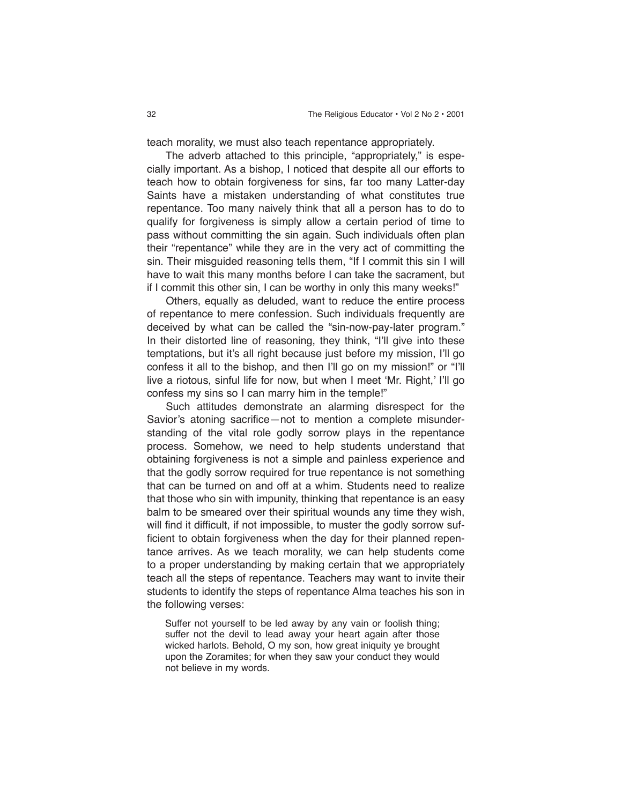**teach morality, we must also teach repentance appropriately.**

 **The adverb attached to this principle, "appropriately," is especially important. As a bishop, I noticed that despite all our efforts to teach how to obtain forgiveness for sins, far too many Latter-day Saints have a mistaken understanding of what constitutes true repentance. Too many naively think that all a person has to do to qualify for forgiveness is simply allow a certain period of time to pass without committing the sin again. Such individuals often plan their "repentance" while they are in the very act of committing the sin. Their misguided reasoning tells them, "If I commit this sin I will have to wait this many months before I can take the sacrament, but if I commit this other sin, I can be worthy in only this many weeks!"**

 **Others, equally as deluded, want to reduce the entire process of repentance to mere confession. Such individuals frequently are deceived by what can be called the "sin-now-pay-later program." In their distorted line of reasoning, they think, "I'll give into these temptations, but it's all right because just before my mission, I'll go confess it all to the bishop, and then I'll go on my mission!" or "I'll live a riotous, sinful life for now, but when I meet 'Mr. Right,' I'll go confess my sins so I can marry him in the temple!"**

 **Such attitudes demonstrate an alarming disrespect for the Savior's atoning sacrifice—not to mention a complete misunderstanding of the vital role godly sorrow plays in the repentance process. Somehow, we need to help students understand that obtaining forgiveness is not a simple and painless experience and that the godly sorrow required for true repentance is not something that can be turned on and off at a whim. Students need to realize that those who sin with impunity, thinking that repentance is an easy balm to be smeared over their spiritual wounds any time they wish, will find it difficult, if not impossible, to muster the godly sorrow sufficient to obtain forgiveness when the day for their planned repentance arrives. As we teach morality, we can help students come to a proper understanding by making certain that we appropriately teach all the steps of repentance. Teachers may want to invite their students to identify the steps of repentance Alma teaches his son in the following verses:**

**Suffer not yourself to be led away by any vain or foolish thing; suffer not the devil to lead away your heart again after those wicked harlots. Behold, O my son, how great iniquity ye brought upon the Zoramites; for when they saw your conduct they would not believe in my words.**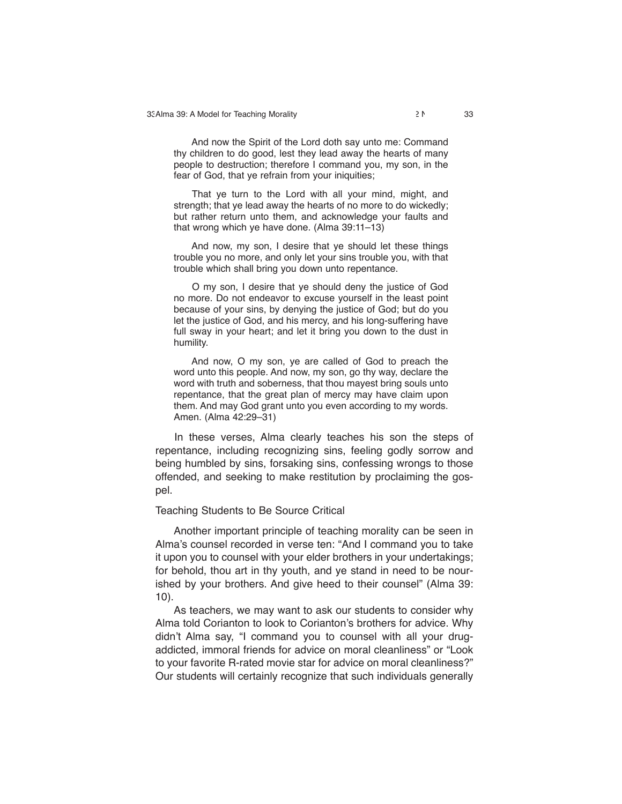**And now the Spirit of the Lord doth say unto me: Command thy children to do good, lest they lead away the hearts of many people to destruction; therefore I command you, my son, in the fear of God, that ye refrain from your iniquities;**

 **That ye turn to the Lord with all your mind, might, and strength; that ye lead away the hearts of no more to do wickedly; but rather return unto them, and acknowledge your faults and that wrong which ye have done. (Alma 39:11–13)**

 **And now, my son, I desire that ye should let these things trouble you no more, and only let your sins trouble you, with that trouble which shall bring you down unto repentance.**

 **O my son, I desire that ye should deny the justice of God no more. Do not endeavor to excuse yourself in the least point because of your sins, by denying the justice of God; but do you let the justice of God, and his mercy, and his long-suffering have full sway in your heart; and let it bring you down to the dust in humility.**

 **And now, O my son, ye are called of God to preach the word unto this people. And now, my son, go thy way, declare the word with truth and soberness, that thou mayest bring souls unto repentance, that the great plan of mercy may have claim upon them. And may God grant unto you even according to my words. Amen. (Alma 42:29–31)**

 **In these verses, Alma clearly teaches his son the steps of repentance, including recognizing sins, feeling godly sorrow and being humbled by sins, forsaking sins, confessing wrongs to those offended, and seeking to make restitution by proclaiming the gospel.**

#### **Teaching Students to Be Source Critical**

 **Another important principle of teaching morality can be seen in Alma's counsel recorded in verse ten: "And I command you to take it upon you to counsel with your elder brothers in your undertakings; for behold, thou art in thy youth, and ye stand in need to be nourished by your brothers. And give heed to their counsel" (Alma 39: 10).**

 **As teachers, we may want to ask our students to consider why Alma told Corianton to look to Corianton's brothers for advice. Why didn't Alma say, "I command you to counsel with all your drugaddicted, immoral friends for advice on moral cleanliness" or "Look to your favorite R-rated movie star for advice on moral cleanliness?" Our students will certainly recognize that such individuals generally**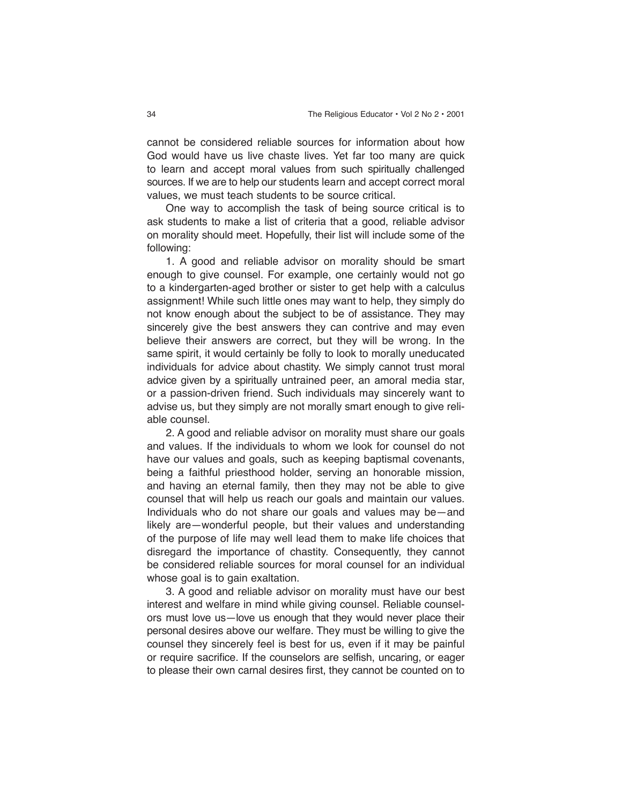**cannot be considered reliable sources for information about how God would have us live chaste lives. Yet far too many are quick to learn and accept moral values from such spiritually challenged sources. If we are to help our students learn and accept correct moral values, we must teach students to be source critical.**

 **One way to accomplish the task of being source critical is to ask students to make a list of criteria that a good, reliable advisor on morality should meet. Hopefully, their list will include some of the following:**

 **1. A good and reliable advisor on morality should be smart enough to give counsel. For example, one certainly would not go to a kindergarten-aged brother or sister to get help with a calculus assignment! While such little ones may want to help, they simply do not know enough about the subject to be of assistance. They may sincerely give the best answers they can contrive and may even believe their answers are correct, but they will be wrong. In the same spirit, it would certainly be folly to look to morally uneducated individuals for advice about chastity. We simply cannot trust moral advice given by a spiritually untrained peer, an amoral media star, or a passion-driven friend. Such individuals may sincerely want to advise us, but they simply are not morally smart enough to give reliable counsel.**

 **2. A good and reliable advisor on morality must share our goals and values. If the individuals to whom we look for counsel do not have our values and goals, such as keeping baptismal covenants, being a faithful priesthood holder, serving an honorable mission, and having an eternal family, then they may not be able to give counsel that will help us reach our goals and maintain our values. Individuals who do not share our goals and values may be—and likely are—wonderful people, but their values and understanding of the purpose of life may well lead them to make life choices that disregard the importance of chastity. Consequently, they cannot be considered reliable sources for moral counsel for an individual whose goal is to gain exaltation.**

 **3. A good and reliable advisor on morality must have our best interest and welfare in mind while giving counsel. Reliable counselors must love us—love us enough that they would never place their personal desires above our welfare. They must be willing to give the counsel they sincerely feel is best for us, even if it may be painful or require sacrifice. If the counselors are selfish, uncaring, or eager to please their own carnal desires first, they cannot be counted on to**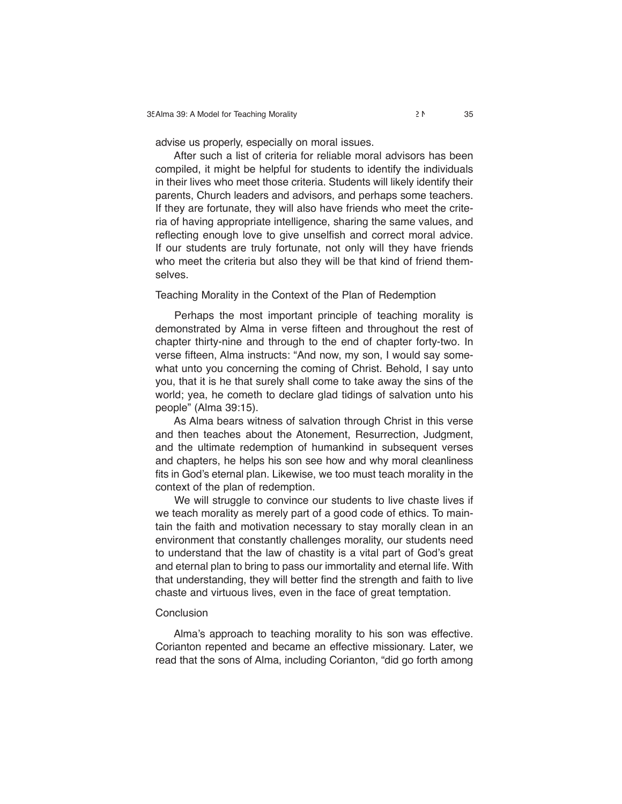**advise us properly, especially on moral issues.**

 **After such a list of criteria for reliable moral advisors has been compiled, it might be helpful for students to identify the individuals in their lives who meet those criteria. Students will likely identify their parents, Church leaders and advisors, and perhaps some teachers. If they are fortunate, they will also have friends who meet the criteria of having appropriate intelligence, sharing the same values, and reflecting enough love to give unselfish and correct moral advice. If our students are truly fortunate, not only will they have friends who meet the criteria but also they will be that kind of friend themselves.**

# **Teaching Morality in the Context of the Plan of Redemption**

 **Perhaps the most important principle of teaching morality is demonstrated by Alma in verse fifteen and throughout the rest of chapter thirty-nine and through to the end of chapter forty-two. In verse fifteen, Alma instructs: "And now, my son, I would say somewhat unto you concerning the coming of Christ. Behold, I say unto you, that it is he that surely shall come to take away the sins of the world; yea, he cometh to declare glad tidings of salvation unto his people" (Alma 39:15).**

 **As Alma bears witness of salvation through Christ in this verse and then teaches about the Atonement, Resurrection, Judgment, and the ultimate redemption of humankind in subsequent verses and chapters, he helps his son see how and why moral cleanliness fits in God's eternal plan. Likewise, we too must teach morality in the context of the plan of redemption.**

 **We will struggle to convince our students to live chaste lives if we teach morality as merely part of a good code of ethics. To maintain the faith and motivation necessary to stay morally clean in an environment that constantly challenges morality, our students need to understand that the law of chastity is a vital part of God's great and eternal plan to bring to pass our immortality and eternal life. With that understanding, they will better find the strength and faith to live chaste and virtuous lives, even in the face of great temptation.**

#### **Conclusion**

 **Alma's approach to teaching morality to his son was effective. Corianton repented and became an effective missionary. Later, we read that the sons of Alma, including Corianton, "did go forth among**